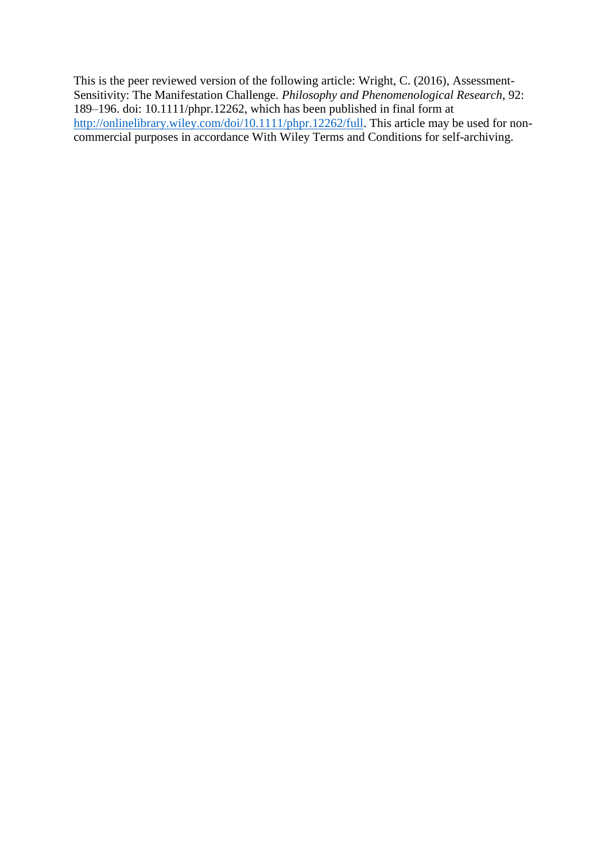This is the peer reviewed version of the following article: Wright, C. (2016), Assessment-Sensitivity: The Manifestation Challenge. *Philosophy and Phenomenological Research*, 92: 189–196. doi: 10.1111/phpr.12262, which has been published in final form at [http://onlinelibrary.wiley.com/doi/10.1111/phpr.12262/full.](http://onlinelibrary.wiley.com/doi/10.1111/phpr.12262/full) This article may be used for noncommercial purposes in accordance With Wiley Terms and Conditions for self-archiving.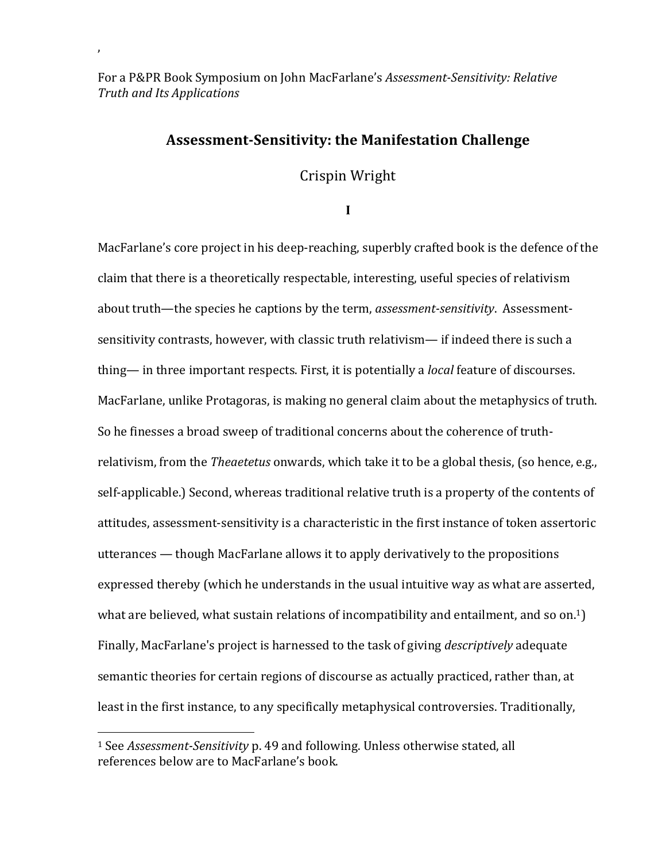For a P&PR Book Symposium on John MacFarlane's *Assessment-Sensitivity: Relative Truth and Its Applications*

,

# **Assessment-Sensitivity: the Manifestation Challenge**

Crispin Wright

**I**

MacFarlane's core project in his deep-reaching, superbly crafted book is the defence of the claim that there is a theoretically respectable, interesting, useful species of relativism about truth—the species he captions by the term, *assessment-sensitivity*. Assessmentsensitivity contrasts, however, with classic truth relativism— if indeed there is such a thing— in three important respects. First, it is potentially a *local* feature of discourses. MacFarlane, unlike Protagoras, is making no general claim about the metaphysics of truth. So he finesses a broad sweep of traditional concerns about the coherence of truthrelativism, from the *Theaetetus* onwards, which take it to be a global thesis, (so hence, e.g., self-applicable.) Second, whereas traditional relative truth is a property of the contents of attitudes, assessment-sensitivity is a characteristic in the first instance of token assertoric  $utterances$  — though MacFarlane allows it to apply derivatively to the propositions expressed thereby (which he understands in the usual intuitive way as what are asserted, what are believed, what sustain relations of incompatibility and entailment, and so on.<sup>1</sup>) Finally, MacFarlane's project is harnessed to the task of giving *descriptively* adequate semantic theories for certain regions of discourse as actually practiced, rather than, at least in the first instance, to any specifically metaphysical controversies. Traditionally,

<sup>&</sup>lt;sup>1</sup> See *Assessment-Sensitivity* p. 49 and following. Unless otherwise stated, all references below are to MacFarlane's book.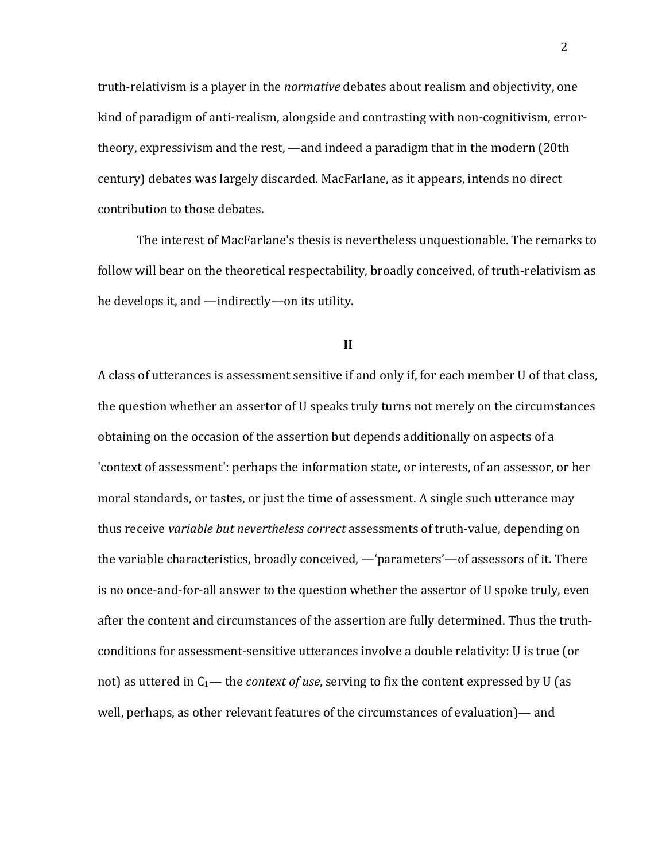truth-relativism is a player in the *normative* debates about realism and objectivity, one kind of paradigm of anti-realism, alongside and contrasting with non-cognitivism, errortheory, expressivism and the rest, —and indeed a paradigm that in the modern (20th) century) debates was largely discarded. MacFarlane, as it appears, intends no direct contribution to those debates.

The interest of MacFarlane's thesis is nevertheless unquestionable. The remarks to follow will bear on the theoretical respectability, broadly conceived, of truth-relativism as he develops it, and —indirectly—on its utility.

### **II**

A class of utterances is assessment sensitive if and only if, for each member U of that class, the question whether an assertor of U speaks truly turns not merely on the circumstances obtaining on the occasion of the assertion but depends additionally on aspects of a 'context of assessment': perhaps the information state, or interests, of an assessor, or her moral standards, or tastes, or just the time of assessment. A single such utterance may thus receive *variable but nevertheless correct* assessments of truth-value, depending on the variable characteristics, broadly conceived,  $-$ 'parameters'—of assessors of it. There is no once-and-for-all answer to the question whether the assertor of U spoke truly, even after the content and circumstances of the assertion are fully determined. Thus the truthconditions for assessment-sensitive utterances involve a double relativity: U is true (or not) as uttered in  $C_1$ — the *context of use*, serving to fix the content expressed by U (as well, perhaps, as other relevant features of the circumstances of evaluation)— and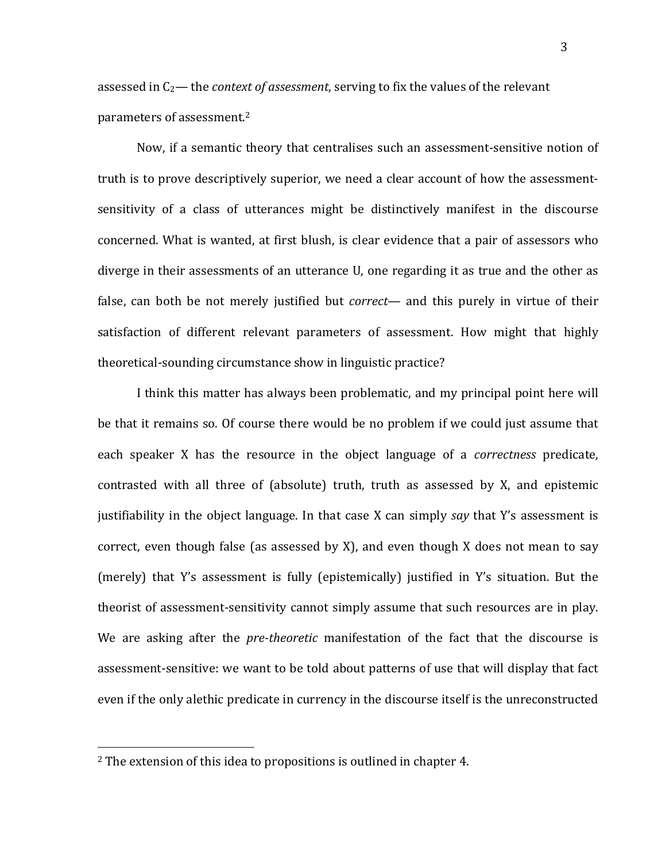assessed in  $C_2$ — the *context of assessment*, serving to fix the values of the relevant parameters of assessment.<sup>2</sup>

Now, if a semantic theory that centralises such an assessment-sensitive notion of truth is to prove descriptively superior, we need a clear account of how the assessmentsensitivity of a class of utterances might be distinctively manifest in the discourse concerned. What is wanted, at first blush, is clear evidence that a pair of assessors who diverge in their assessments of an utterance U, one regarding it as true and the other as false, can both be not merely justified but *correct*— and this purely in virtue of their satisfaction of different relevant parameters of assessment. How might that highly theoretical-sounding circumstance show in linguistic practice?

I think this matter has always been problematic, and my principal point here will be that it remains so. Of course there would be no problem if we could just assume that each speaker X has the resource in the object language of a *correctness* predicate, contrasted with all three of (absolute) truth, truth as assessed by X, and epistemic justifiability in the object language. In that case X can simply *say* that Y's assessment is correct, even though false (as assessed by X), and even though X does not mean to say (merely) that Y's assessment is fully (epistemically) justified in Y's situation. But the theorist of assessment-sensitivity cannot simply assume that such resources are in play. We are asking after the *pre-theoretic* manifestation of the fact that the discourse is assessment-sensitive: we want to be told about patterns of use that will display that fact even if the only alethic predicate in currency in the discourse itself is the unreconstructed

 $2$  The extension of this idea to propositions is outlined in chapter 4.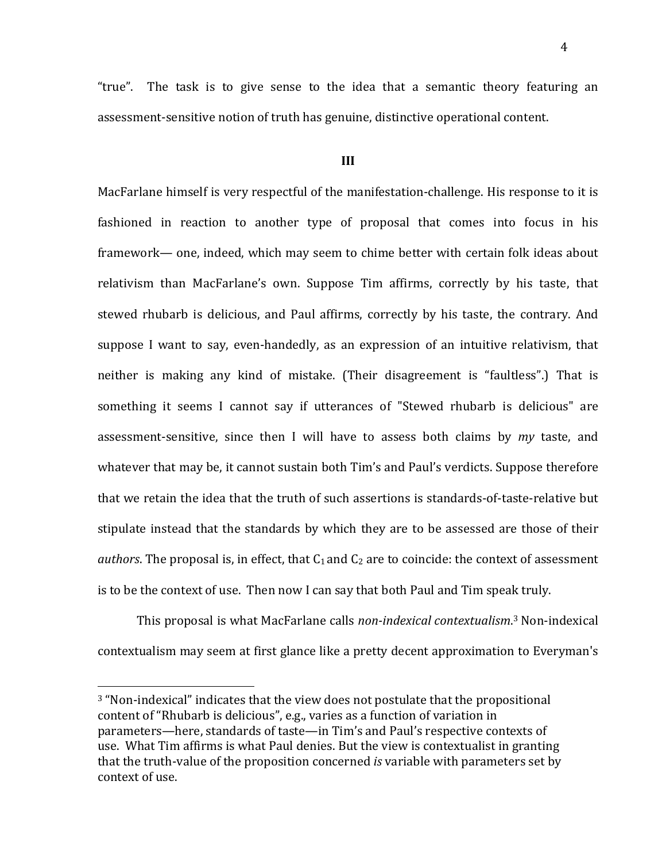"true". The task is to give sense to the idea that a semantic theory featuring an assessment-sensitive notion of truth has genuine, distinctive operational content.

# **III**

MacFarlane himself is very respectful of the manifestation-challenge. His response to it is fashioned in reaction to another type of proposal that comes into focus in his framework— one, indeed, which may seem to chime better with certain folk ideas about relativism than MacFarlane's own. Suppose Tim affirms, correctly by his taste, that stewed rhubarb is delicious, and Paul affirms, correctly by his taste, the contrary. And suppose I want to say, even-handedly, as an expression of an intuitive relativism, that neither is making any kind of mistake. (Their disagreement is "faultless".) That is something it seems I cannot say if utterances of "Stewed rhubarb is delicious" are assessment-sensitive, since then I will have to assess both claims by my taste, and whatever that may be, it cannot sustain both Tim's and Paul's verdicts. Suppose therefore that we retain the idea that the truth of such assertions is standards-of-taste-relative but stipulate instead that the standards by which they are to be assessed are those of their *authors*. The proposal is, in effect, that  $C_1$  and  $C_2$  are to coincide: the context of assessment is to be the context of use. Then now I can say that both Paul and Tim speak truly.

This proposal is what MacFarlane calls *non-indexical contextualism*.<sup>3</sup> Non-indexical contextualism may seem at first glance like a pretty decent approximation to Everyman's

<sup>&</sup>lt;sup>3</sup> "Non-indexical" indicates that the view does not postulate that the propositional content of "Rhubarb is delicious", e.g., varies as a function of variation in parameters—here, standards of taste—in Tim's and Paul's respective contexts of use. What Tim affirms is what Paul denies. But the view is contextualist in granting that the truth-value of the proposition concerned *is* variable with parameters set by context of use.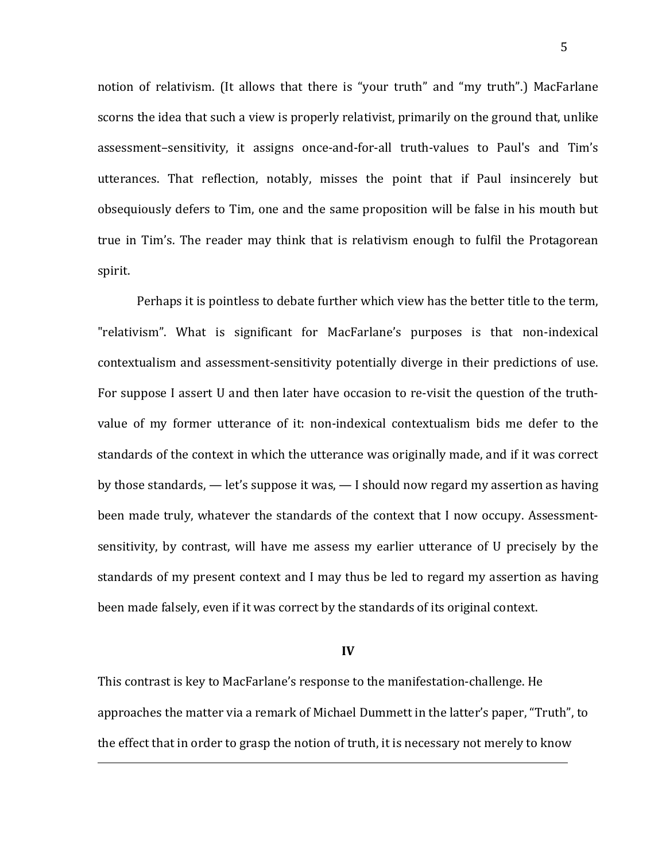notion of relativism. (It allows that there is "your truth" and "my truth".) MacFarlane scorns the idea that such a view is properly relativist, primarily on the ground that, unlike assessment-sensitivity, it assigns once-and-for-all truth-values to Paul's and Tim's utterances. That reflection, notably, misses the point that if Paul insincerely but obsequiously defers to Tim, one and the same proposition will be false in his mouth but true in Tim's. The reader may think that is relativism enough to fulfil the Protagorean spirit. 

Perhaps it is pointless to debate further which view has the better title to the term, "relativism". What is significant for MacFarlane's purposes is that non-indexical contextualism and assessment-sensitivity potentially diverge in their predictions of use. For suppose I assert U and then later have occasion to re-visit the question of the truthvalue of my former utterance of it: non-indexical contextualism bids me defer to the standards of the context in which the utterance was originally made, and if it was correct by those standards,  $-$  let's suppose it was,  $-$  I should now regard my assertion as having been made truly, whatever the standards of the context that I now occupy. Assessmentsensitivity, by contrast, will have me assess my earlier utterance of U precisely by the standards of my present context and I may thus be led to regard my assertion as having been made falsely, even if it was correct by the standards of its original context.

#### **IV**

This contrast is key to MacFarlane's response to the manifestation-challenge. He approaches the matter via a remark of Michael Dummett in the latter's paper, "Truth", to the effect that in order to grasp the notion of truth, it is necessary not merely to know

<u> 1989 - Andrea Santa Andrea Andrea Andrea Andrea Andrea Andrea Andrea Andrea Andrea Andrea Andrea Andrea Andr</u>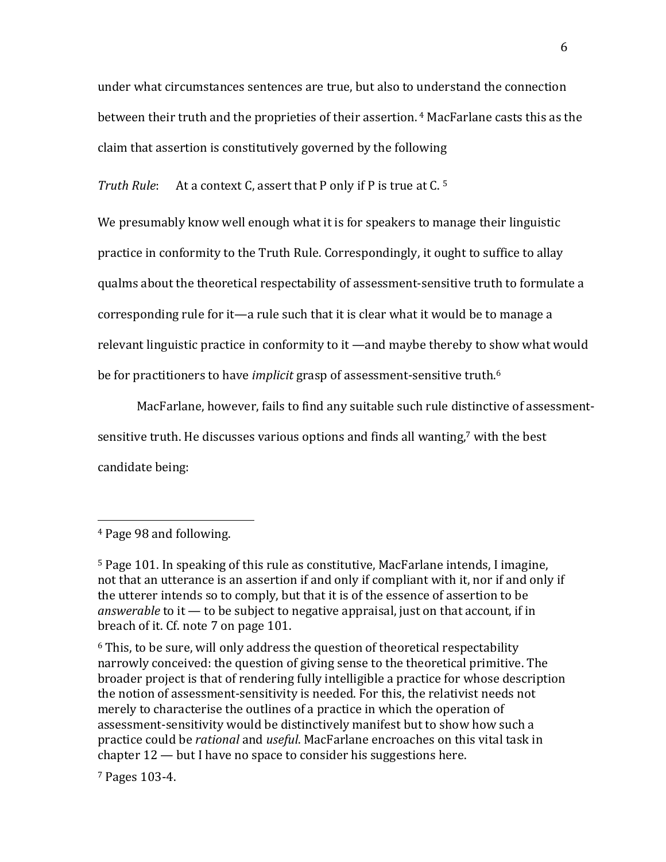under what circumstances sentences are true, but also to understand the connection between their truth and the proprieties of their assertion.  $4$  MacFarlane casts this as the claim that assertion is constitutively governed by the following

*Truth Rule*: At a context C, assert that P only if P is true at C.<sup>5</sup>

We presumably know well enough what it is for speakers to manage their linguistic practice in conformity to the Truth Rule. Correspondingly, it ought to suffice to allay qualms about the theoretical respectability of assessment-sensitive truth to formulate a corresponding rule for it—a rule such that it is clear what it would be to manage a relevant linguistic practice in conformity to it —and maybe thereby to show what would

be for practitioners to have *implicit* grasp of assessment-sensitive truth.<sup>6</sup>

MacFarlane, however, fails to find any suitable such rule distinctive of assessmentsensitive truth. He discusses various options and finds all wanting, $\frac{7}{1}$  with the best candidate being:

 

 $6$  This, to be sure, will only address the question of theoretical respectability narrowly conceived: the question of giving sense to the theoretical primitive. The broader project is that of rendering fully intelligible a practice for whose description the notion of assessment-sensitivity is needed. For this, the relativist needs not merely to characterise the outlines of a practice in which the operation of assessment-sensitivity would be distinctively manifest but to show how such a practice could be *rational* and *useful*. MacFarlane encroaches on this vital task in chapter  $12 - \text{but I}$  have no space to consider his suggestions here.

 $7$  Pages 103-4.

<sup>&</sup>lt;sup>4</sup> Page 98 and following.

 $5$  Page 101. In speaking of this rule as constitutive, MacFarlane intends, I imagine, not that an utterance is an assertion if and only if compliant with it, nor if and only if the utterer intends so to comply, but that it is of the essence of assertion to be *answerable* to it  $-$  to be subject to negative appraisal, just on that account, if in breach of it. Cf. note 7 on page 101.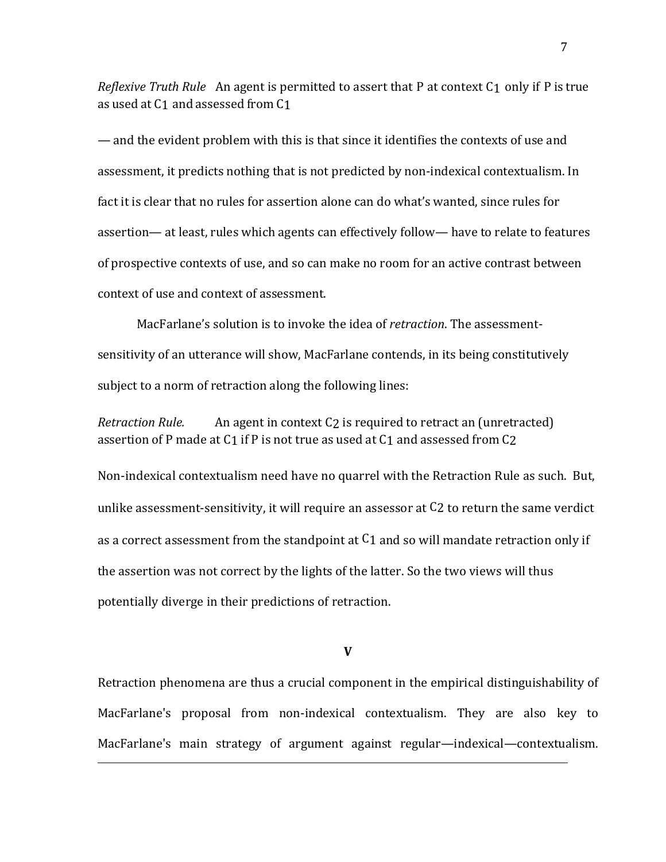*Reflexive Truth Rule*  An agent is permitted to assert that P at context C1 only if P is true as used at C1 and assessed from C1

— and the evident problem with this is that since it identifies the contexts of use and assessment, it predicts nothing that is not predicted by non-indexical contextualism. In fact it is clear that no rules for assertion alone can do what's wanted, since rules for assertion— at least, rules which agents can effectively follow— have to relate to features of prospective contexts of use, and so can make no room for an active contrast between context of use and context of assessment.

MacFarlane's solution is to invoke the idea of *retraction*. The assessmentsensitivity of an utterance will show, MacFarlane contends, in its being constitutively subject to a norm of retraction along the following lines:

*Retraction Rule.* An agent in context C<sub>2</sub> is required to retract an (unretracted) assertion of P made at  $C_1$  if P is not true as used at  $C_1$  and assessed from  $C_2$ 

Non-indexical contextualism need have no quarrel with the Retraction Rule as such. But, unlike assessment-sensitivity, it will require an assessor at  $C_2$  to return the same verdict as a correct assessment from the standpoint at  $C_1$  and so will mandate retraction only if the assertion was not correct by the lights of the latter. So the two views will thus potentially diverge in their predictions of retraction.

## **V**

Retraction phenomena are thus a crucial component in the empirical distinguishability of MacFarlane's proposal from non-indexical contextualism. They are also key to MacFarlane's main strategy of argument against regular—indexical—contextualism.

<u> 1989 - Andrea Santa Andrea Andrea Andrea Andrea Andrea Andrea Andrea Andrea Andrea Andrea Andrea Andrea Andr</u>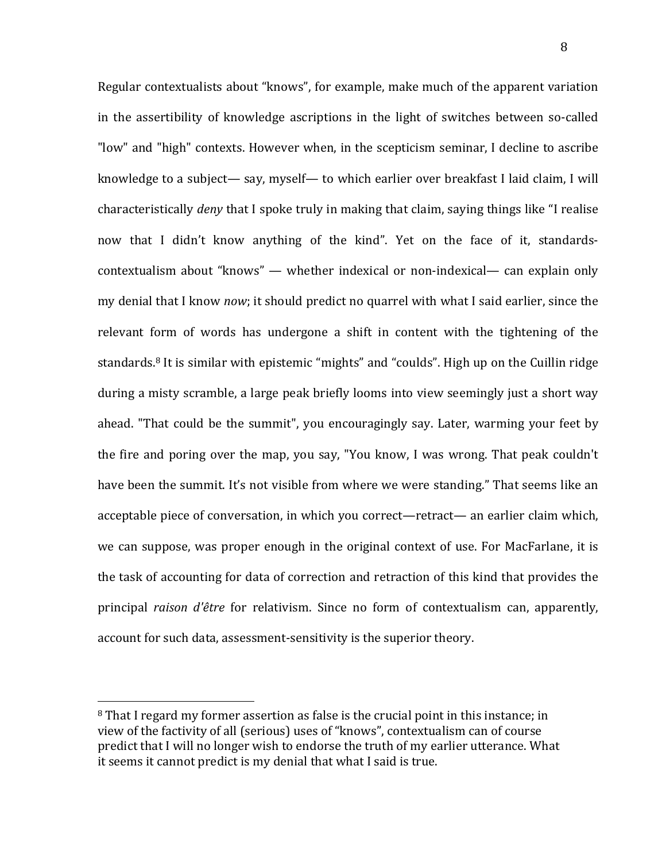Regular contextualists about "knows", for example, make much of the apparent variation in the assertibility of knowledge ascriptions in the light of switches between so-called "low" and "high" contexts. However when, in the scepticism seminar, I decline to ascribe knowledge to a subject— say, myself— to which earlier over breakfast I laid claim, I will characteristically *deny* that I spoke truly in making that claim, saying things like "I realise now that I didn't know anything of the kind". Yet on the face of it, standardscontextualism about "knows"  $-$  whether indexical or non-indexical— can explain only my denial that I know *now*; it should predict no quarrel with what I said earlier, since the relevant form of words has undergone a shift in content with the tightening of the standards.<sup>8</sup> It is similar with epistemic "mights" and "coulds". High up on the Cuillin ridge during a misty scramble, a large peak briefly looms into view seemingly just a short way ahead. "That could be the summit", you encouragingly say. Later, warming your feet by the fire and poring over the map, you say, "You know, I was wrong. That peak couldn't have been the summit. It's not visible from where we were standing." That seems like an acceptable piece of conversation, in which you correct—retract— an earlier claim which, we can suppose, was proper enough in the original context of use. For MacFarlane, it is the task of accounting for data of correction and retraction of this kind that provides the principal *raison d'être* for relativism. Since no form of contextualism can, apparently, account for such data, assessment-sensitivity is the superior theory.

 $8$  That I regard my former assertion as false is the crucial point in this instance; in view of the factivity of all (serious) uses of "knows", contextualism can of course predict that I will no longer wish to endorse the truth of my earlier utterance. What it seems it cannot predict is my denial that what I said is true.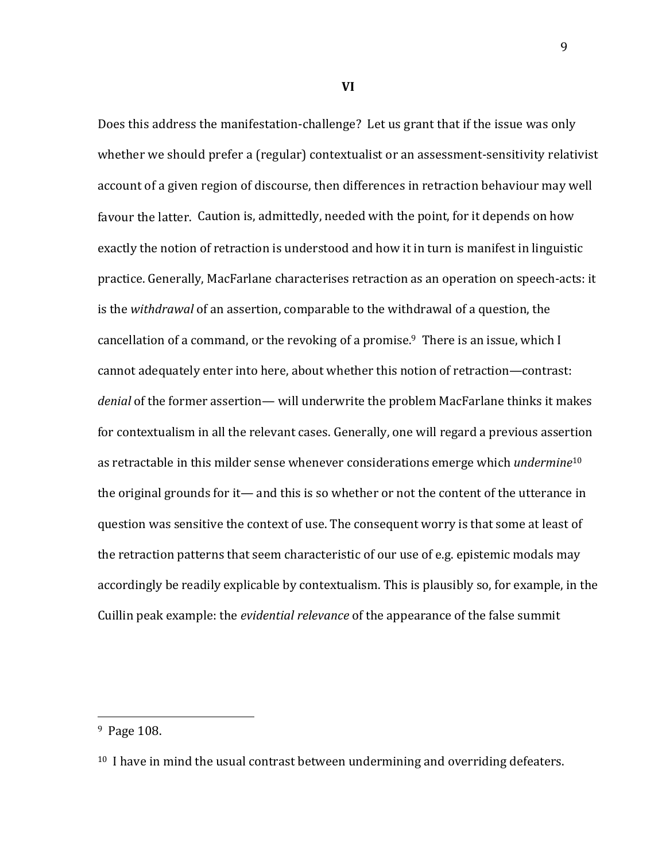Does this address the manifestation-challenge? Let us grant that if the issue was only whether we should prefer a (regular) contextualist or an assessment-sensitivity relativist account of a given region of discourse, then differences in retraction behaviour may well favour the latter. Caution is, admittedly, needed with the point, for it depends on how exactly the notion of retraction is understood and how it in turn is manifest in linguistic practice. Generally, MacFarlane characterises retraction as an operation on speech-acts: it is the *withdrawal* of an assertion, comparable to the withdrawal of a question, the cancellation of a command, or the revoking of a promise.<sup>9</sup> There is an issue, which I cannot adequately enter into here, about whether this notion of retraction—contrast: *denial* of the former assertion— will underwrite the problem MacFarlane thinks it makes for contextualism in all the relevant cases. Generally, one will regard a previous assertion as retractable in this milder sense whenever considerations emerge which *undermine*<sup>10</sup> the original grounds for it— and this is so whether or not the content of the utterance in question was sensitive the context of use. The consequent worry is that some at least of the retraction patterns that seem characteristic of our use of e.g. epistemic modals may accordingly be readily explicable by contextualism. This is plausibly so, for example, in the Cuillin peak example: the *evidential relevance* of the appearance of the false summit

 

**VI**

 $9$  Page 108.

 $10$  I have in mind the usual contrast between undermining and overriding defeaters.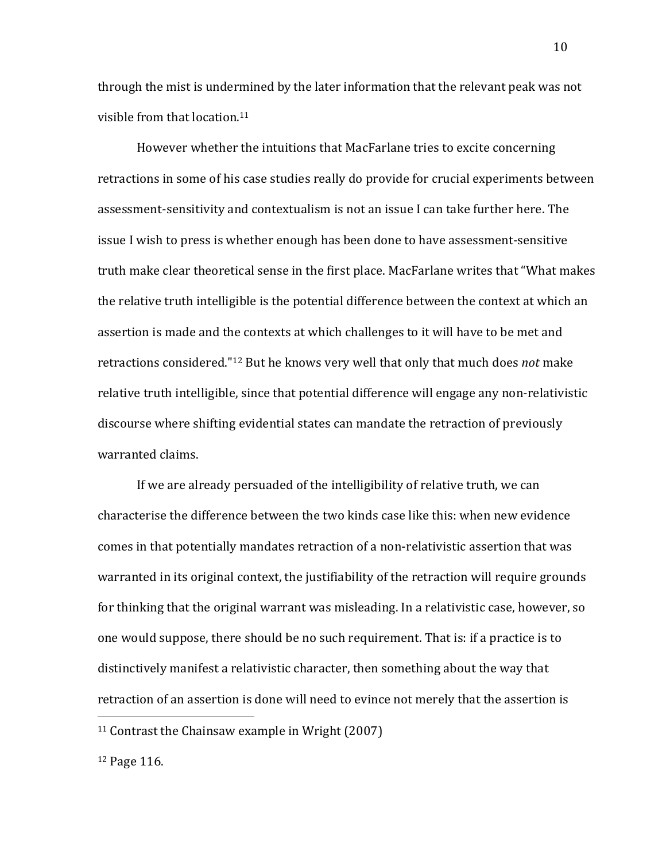through the mist is undermined by the later information that the relevant peak was not visible from that location. $11$ 

However whether the intuitions that MacFarlane tries to excite concerning retractions in some of his case studies really do provide for crucial experiments between assessment-sensitivity and contextualism is not an issue I can take further here. The issue I wish to press is whether enough has been done to have assessment-sensitive truth make clear theoretical sense in the first place. MacFarlane writes that "What makes the relative truth intelligible is the potential difference between the context at which an assertion is made and the contexts at which challenges to it will have to be met and retractions considered."<sup>12</sup> But he knows very well that only that much does *not* make relative truth intelligible, since that potential difference will engage any non-relativistic discourse where shifting evidential states can mandate the retraction of previously warranted claims.

If we are already persuaded of the intelligibility of relative truth, we can characterise the difference between the two kinds case like this: when new evidence comes in that potentially mandates retraction of a non-relativistic assertion that was warranted in its original context, the justifiability of the retraction will require grounds for thinking that the original warrant was misleading. In a relativistic case, however, so one would suppose, there should be no such requirement. That is: if a practice is to distinctively manifest a relativistic character, then something about the way that retraction of an assertion is done will need to evince not merely that the assertion is 

 $11$  Contrast the Chainsaw example in Wright (2007)

<sup>12</sup> Page 116.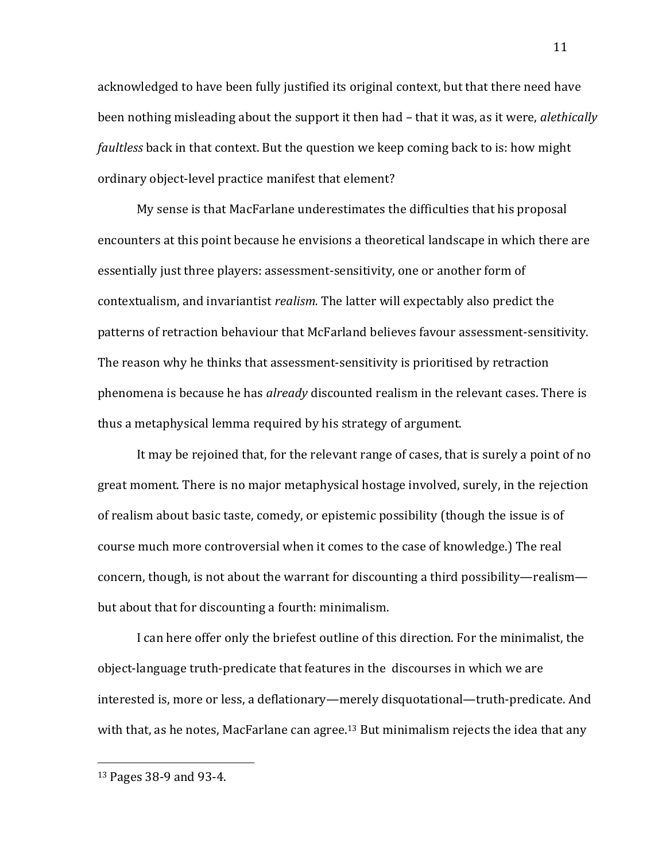acknowledged to have been fully justified its original context, but that there need have been nothing misleading about the support it then had – that it was, as it were, *alethically faultless* back in that context. But the question we keep coming back to is: how might ordinary object-level practice manifest that element?

My sense is that MacFarlane underestimates the difficulties that his proposal encounters at this point because he envisions a theoretical landscape in which there are essentially just three players: assessment-sensitivity, one or another form of contextualism, and invariantist *realism*. The latter will expectably also predict the patterns of retraction behaviour that McFarland believes favour assessment-sensitivity. The reason why he thinks that assessment-sensitivity is prioritised by retraction phenomena is because he has *already* discounted realism in the relevant cases. There is thus a metaphysical lemma required by his strategy of argument.

It may be rejoined that, for the relevant range of cases, that is surely a point of no great moment. There is no major metaphysical hostage involved, surely, in the rejection of realism about basic taste, comedy, or epistemic possibility (though the issue is of course much more controversial when it comes to the case of knowledge.) The real concern, though, is not about the warrant for discounting a third possibility—realism but about that for discounting a fourth: minimalism.

I can here offer only the briefest outline of this direction. For the minimalist, the object-language truth-predicate that features in the discourses in which we are interested is, more or less, a deflationary—merely disquotational—truth-predicate. And with that, as he notes, MacFarlane can agree.<sup>13</sup> But minimalism rejects the idea that any

<sup>&</sup>lt;sup>13</sup> Pages 38-9 and 93-4.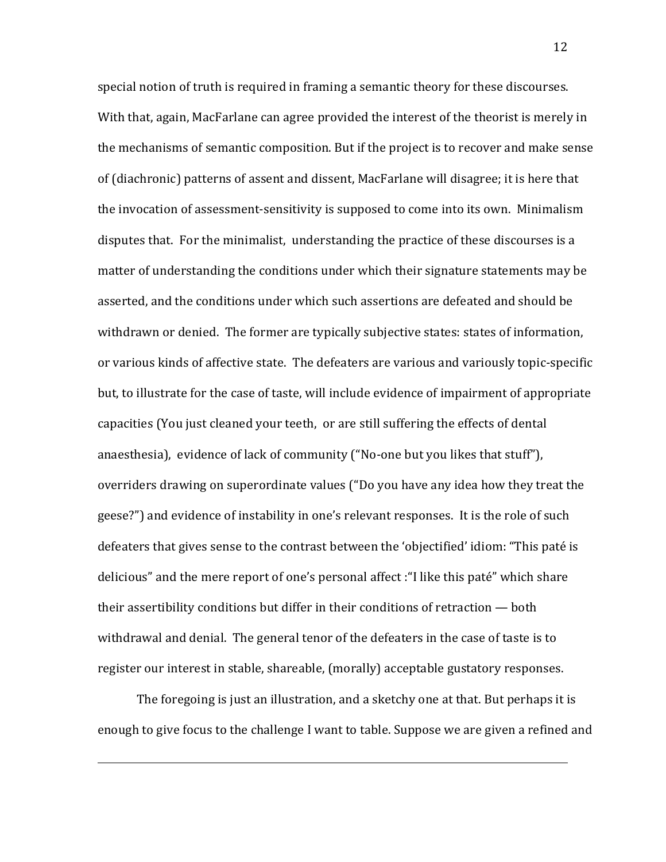special notion of truth is required in framing a semantic theory for these discourses. With that, again, MacFarlane can agree provided the interest of the theorist is merely in the mechanisms of semantic composition. But if the project is to recover and make sense of (diachronic) patterns of assent and dissent, MacFarlane will disagree; it is here that the invocation of assessment-sensitivity is supposed to come into its own. Minimalism disputes that. For the minimalist, understanding the practice of these discourses is a matter of understanding the conditions under which their signature statements may be asserted, and the conditions under which such assertions are defeated and should be withdrawn or denied. The former are typically subjective states: states of information, or various kinds of affective state. The defeaters are various and variously topic-specific but, to illustrate for the case of taste, will include evidence of impairment of appropriate capacities (You just cleaned your teeth, or are still suffering the effects of dental anaesthesia), evidence of lack of community ("No-one but you likes that stuff"), overriders drawing on superordinate values ("Do you have any idea how they treat the geese?") and evidence of instability in one's relevant responses. It is the role of such defeaters that gives sense to the contrast between the 'objectified' idiom: "This paté is delicious" and the mere report of one's personal affect : "I like this paté" which share their assertibility conditions but differ in their conditions of retraction  $-$  both withdrawal and denial. The general tenor of the defeaters in the case of taste is to register our interest in stable, shareable, (morally) acceptable gustatory responses.

The foregoing is just an illustration, and a sketchy one at that. But perhaps it is enough to give focus to the challenge I want to table. Suppose we are given a refined and

<u> 1989 - Andrea Santa Andrea Andrea Andrea Andrea Andrea Andrea Andrea Andrea Andrea Andrea Andrea Andrea Andr</u>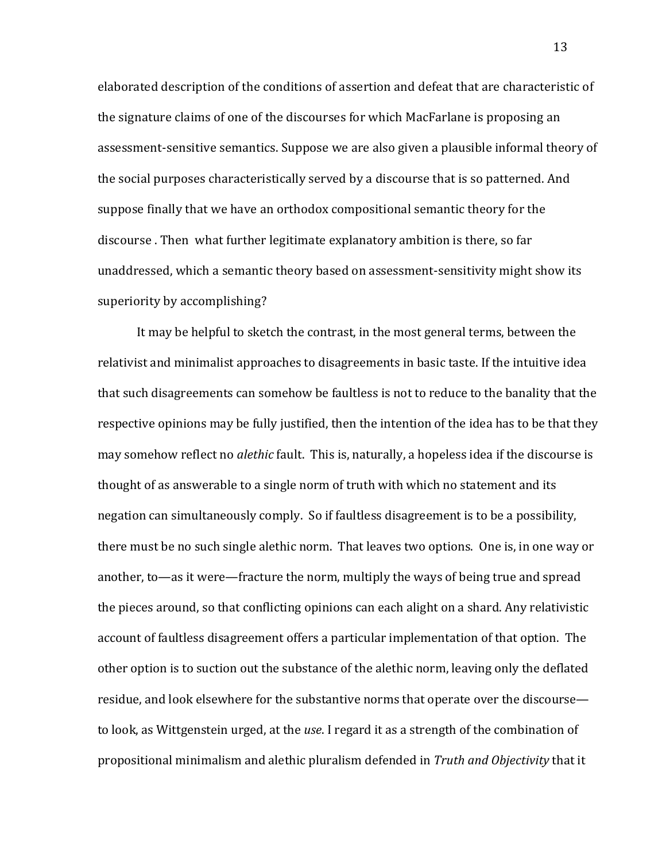elaborated description of the conditions of assertion and defeat that are characteristic of the signature claims of one of the discourses for which MacFarlane is proposing an assessment-sensitive semantics. Suppose we are also given a plausible informal theory of the social purposes characteristically served by a discourse that is so patterned. And suppose finally that we have an orthodox compositional semantic theory for the discourse. Then what further legitimate explanatory ambition is there, so far unaddressed, which a semantic theory based on assessment-sensitivity might show its superiority by accomplishing?

It may be helpful to sketch the contrast, in the most general terms, between the relativist and minimalist approaches to disagreements in basic taste. If the intuitive idea that such disagreements can somehow be faultless is not to reduce to the banality that the respective opinions may be fully justified, then the intention of the idea has to be that they may somehow reflect no *alethic* fault. This is, naturally, a hopeless idea if the discourse is thought of as answerable to a single norm of truth with which no statement and its negation can simultaneously comply. So if faultless disagreement is to be a possibility, there must be no such single alethic norm. That leaves two options. One is, in one way or another, to—as it were—fracture the norm, multiply the ways of being true and spread the pieces around, so that conflicting opinions can each alight on a shard. Any relativistic account of faultless disagreement offers a particular implementation of that option. The other option is to suction out the substance of the alethic norm, leaving only the deflated residue, and look elsewhere for the substantive norms that operate over the discourse to look, as Wittgenstein urged, at the *use*. I regard it as a strength of the combination of propositional minimalism and alethic pluralism defended in *Truth and Objectivity* that it